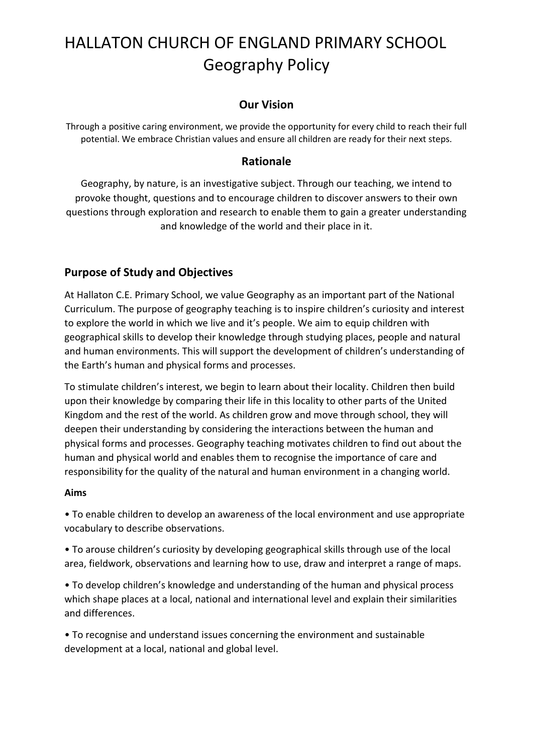# **Our Vision**

Through a positive caring environment, we provide the opportunity for every child to reach their full potential. We embrace Christian values and ensure all children are ready for their next steps.

# **Rationale**

Geography, by nature, is an investigative subject. Through our teaching, we intend to provoke thought, questions and to encourage children to discover answers to their own questions through exploration and research to enable them to gain a greater understanding and knowledge of the world and their place in it.

# **Purpose of Study and Objectives**

At Hallaton C.E. Primary School, we value Geography as an important part of the National Curriculum. The purpose of geography teaching is to inspire children's curiosity and interest to explore the world in which we live and it's people. We aim to equip children with geographical skills to develop their knowledge through studying places, people and natural and human environments. This will support the development of children's understanding of the Earth's human and physical forms and processes.

To stimulate children's interest, we begin to learn about their locality. Children then build upon their knowledge by comparing their life in this locality to other parts of the United Kingdom and the rest of the world. As children grow and move through school, they will deepen their understanding by considering the interactions between the human and physical forms and processes. Geography teaching motivates children to find out about the human and physical world and enables them to recognise the importance of care and responsibility for the quality of the natural and human environment in a changing world.

### **Aims**

• To enable children to develop an awareness of the local environment and use appropriate vocabulary to describe observations.

• To arouse children's curiosity by developing geographical skills through use of the local area, fieldwork, observations and learning how to use, draw and interpret a range of maps.

• To develop children's knowledge and understanding of the human and physical process which shape places at a local, national and international level and explain their similarities and differences.

• To recognise and understand issues concerning the environment and sustainable development at a local, national and global level.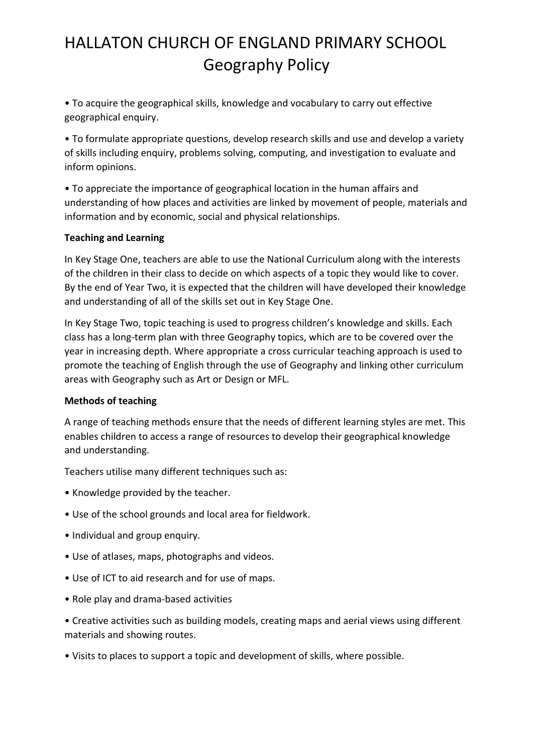• To acquire the geographical skills, knowledge and vocabulary to carry out effective geographical enquiry.

• To formulate appropriate questions, develop research skills and use and develop a variety of skills including enquiry, problems solving, computing, and investigation to evaluate and inform opinions.

• To appreciate the importance of geographical location in the human affairs and understanding of how places and activities are linked by movement of people, materials and information and by economic, social and physical relationships.

### **Teaching and Learning**

In Key Stage One, teachers are able to use the National Curriculum along with the interests of the children in their class to decide on which aspects of a topic they would like to cover. By the end of Year Two, it is expected that the children will have developed their knowledge and understanding of all of the skills set out in Key Stage One.

In Key Stage Two, topic teaching is used to progress children's knowledge and skills. Each class has a long-term plan with three Geography topics, which are to be covered over the year in increasing depth. Where appropriate a cross curricular teaching approach is used to promote the teaching of English through the use of Geography and linking other curriculum areas with Geography such as Art or Design or MFL.

### **Methods of teaching**

A range of teaching methods ensure that the needs of different learning styles are met. This enables children to access a range of resources to develop their geographical knowledge and understanding.

Teachers utilise many different techniques such as:

- Knowledge provided by the teacher.
- Use of the school grounds and local area for fieldwork.
- Individual and group enquiry.
- Use of atlases, maps, photographs and videos.
- Use of ICT to aid research and for use of maps.
- Role play and drama-based activities

• Creative activities such as building models, creating maps and aerial views using different materials and showing routes.

• Visits to places to support a topic and development of skills, where possible.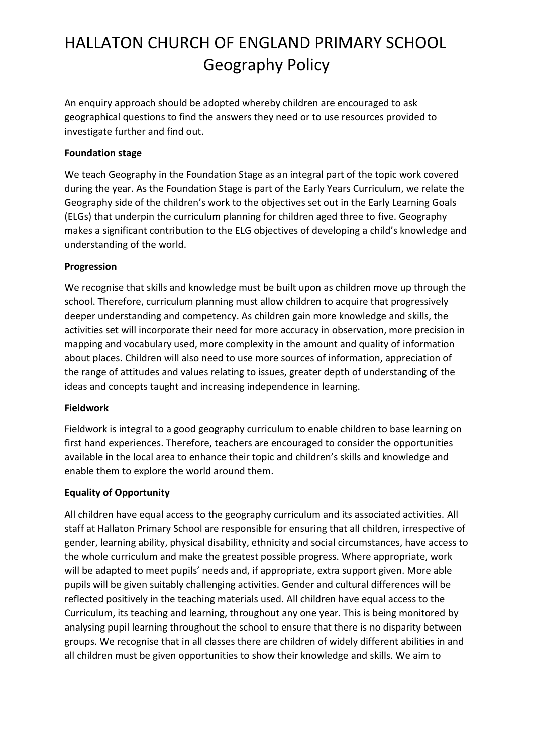An enquiry approach should be adopted whereby children are encouraged to ask geographical questions to find the answers they need or to use resources provided to investigate further and find out.

### **Foundation stage**

We teach Geography in the Foundation Stage as an integral part of the topic work covered during the year. As the Foundation Stage is part of the Early Years Curriculum, we relate the Geography side of the children's work to the objectives set out in the Early Learning Goals (ELGs) that underpin the curriculum planning for children aged three to five. Geography makes a significant contribution to the ELG objectives of developing a child's knowledge and understanding of the world.

### **Progression**

We recognise that skills and knowledge must be built upon as children move up through the school. Therefore, curriculum planning must allow children to acquire that progressively deeper understanding and competency. As children gain more knowledge and skills, the activities set will incorporate their need for more accuracy in observation, more precision in mapping and vocabulary used, more complexity in the amount and quality of information about places. Children will also need to use more sources of information, appreciation of the range of attitudes and values relating to issues, greater depth of understanding of the ideas and concepts taught and increasing independence in learning.

### **Fieldwork**

Fieldwork is integral to a good geography curriculum to enable children to base learning on first hand experiences. Therefore, teachers are encouraged to consider the opportunities available in the local area to enhance their topic and children's skills and knowledge and enable them to explore the world around them.

## **Equality of Opportunity**

All children have equal access to the geography curriculum and its associated activities. All staff at Hallaton Primary School are responsible for ensuring that all children, irrespective of gender, learning ability, physical disability, ethnicity and social circumstances, have access to the whole curriculum and make the greatest possible progress. Where appropriate, work will be adapted to meet pupils' needs and, if appropriate, extra support given. More able pupils will be given suitably challenging activities. Gender and cultural differences will be reflected positively in the teaching materials used. All children have equal access to the Curriculum, its teaching and learning, throughout any one year. This is being monitored by analysing pupil learning throughout the school to ensure that there is no disparity between groups. We recognise that in all classes there are children of widely different abilities in and all children must be given opportunities to show their knowledge and skills. We aim to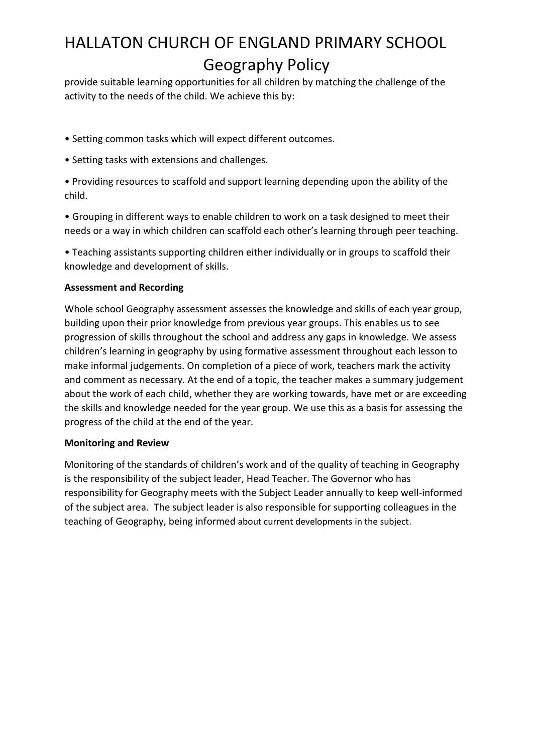provide suitable learning opportunities for all children by matching the challenge of the activity to the needs of the child. We achieve this by:

- Setting common tasks which will expect different outcomes.
- Setting tasks with extensions and challenges.
- Providing resources to scaffold and support learning depending upon the ability of the child.
- Grouping in different ways to enable children to work on a task designed to meet their needs or a way in which children can scaffold each other's learning through peer teaching.
- Teaching assistants supporting children either individually or in groups to scaffold their knowledge and development of skills.

### **Assessment and Recording**

Whole school Geography assessment assesses the knowledge and skills of each year group, building upon their prior knowledge from previous year groups. This enables us to see progression of skills throughout the school and address any gaps in knowledge. We assess children's learning in geography by using formative assessment throughout each lesson to make informal judgements. On completion of a piece of work, teachers mark the activity and comment as necessary. At the end of a topic, the teacher makes a summary judgement about the work of each child, whether they are working towards, have met or are exceeding the skills and knowledge needed for the year group. We use this as a basis for assessing the progress of the child at the end of the year.

### **Monitoring and Review**

Monitoring of the standards of children's work and of the quality of teaching in Geography is the responsibility of the subject leader, Head Teacher. The Governor who has responsibility for Geography meets with the Subject Leader annually to keep well-informed of the subject area. The subject leader is also responsible for supporting colleagues in the teaching of Geography, being informed about current developments in the subject.